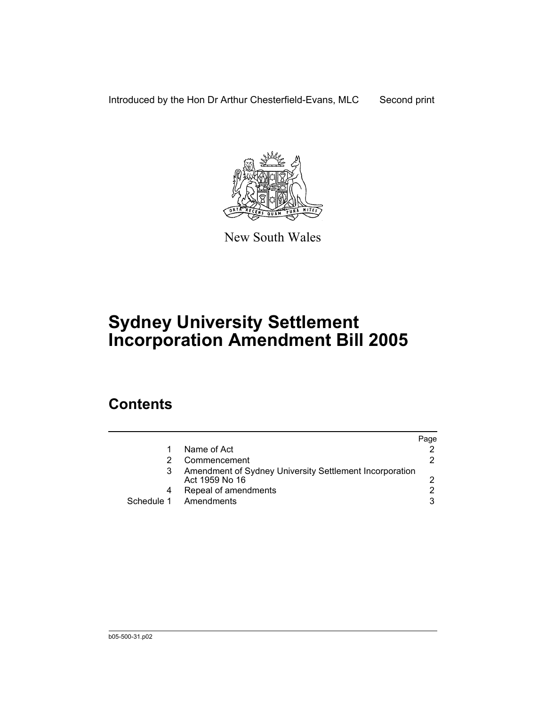Introduced by the Hon Dr Arthur Chesterfield-Evans, MLC Second print



New South Wales

# **Sydney University Settlement Incorporation Amendment Bill 2005**

## **Contents**

|            |                                                                           | Page |
|------------|---------------------------------------------------------------------------|------|
|            | Name of Act                                                               |      |
|            | Commencement                                                              |      |
|            | Amendment of Sydney University Settlement Incorporation<br>Act 1959 No 16 |      |
| 4          | Repeal of amendments                                                      |      |
| Schedule 1 | Amendments                                                                |      |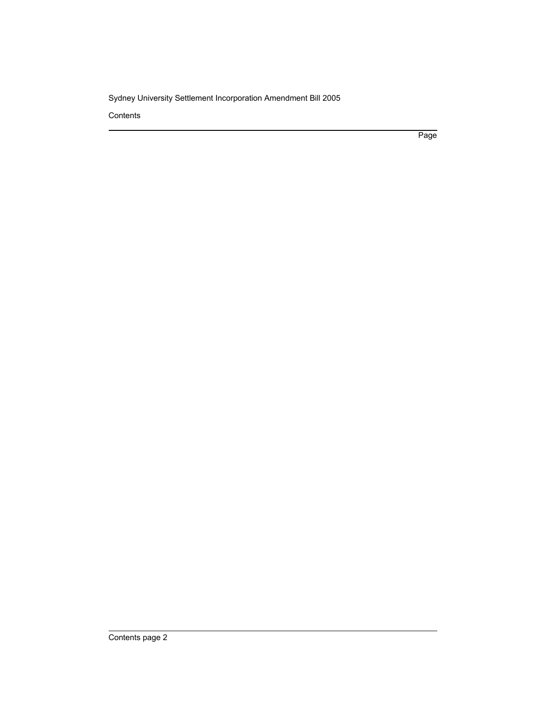**Contents** 

Page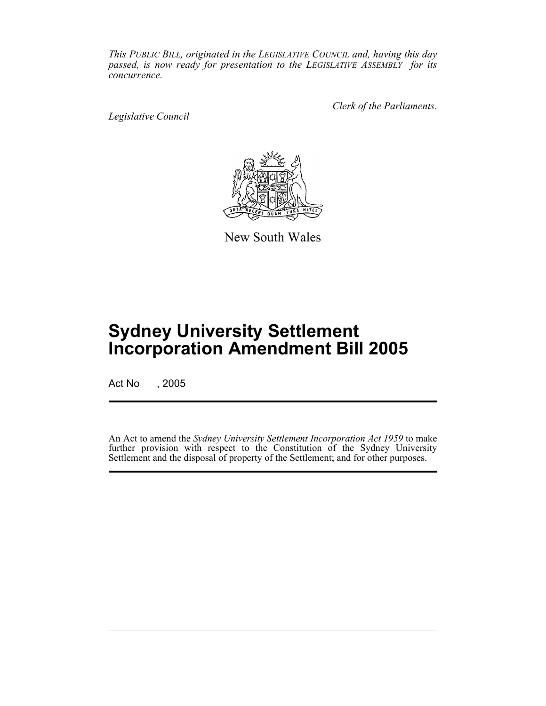*This PUBLIC BILL, originated in the LEGISLATIVE COUNCIL and, having this day passed, is now ready for presentation to the LEGISLATIVE ASSEMBLY for its concurrence.*

*Legislative Council*

*Clerk of the Parliaments.*



New South Wales

# **Sydney University Settlement Incorporation Amendment Bill 2005**

Act No , 2005

An Act to amend the *Sydney University Settlement Incorporation Act 1959* to make further provision with respect to the Constitution of the Sydney University Settlement and the disposal of property of the Settlement; and for other purposes.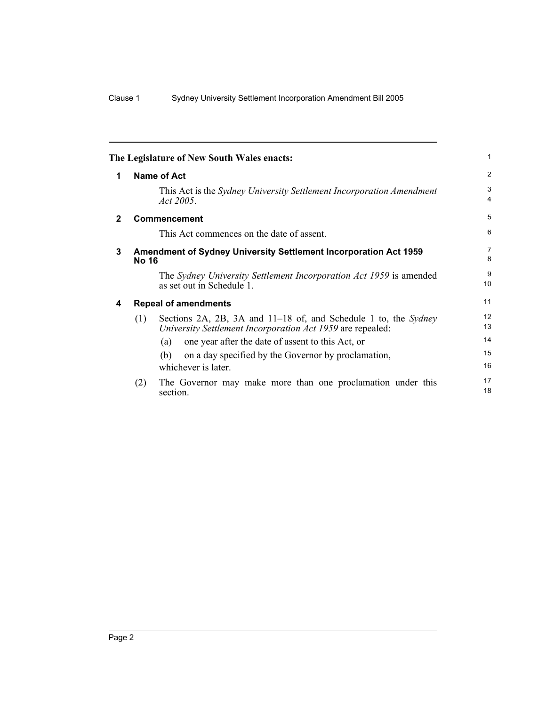<span id="page-3-2"></span><span id="page-3-1"></span><span id="page-3-0"></span>

|             |                             | The Legislature of New South Wales enacts:                                                                                    | 1                   |  |
|-------------|-----------------------------|-------------------------------------------------------------------------------------------------------------------------------|---------------------|--|
| 1           |                             | Name of Act                                                                                                                   |                     |  |
|             |                             | This Act is the Sydney University Settlement Incorporation Amendment<br>Act $2005$ .                                          | 3<br>$\overline{4}$ |  |
| $\mathbf 2$ |                             | <b>Commencement</b>                                                                                                           | 5                   |  |
|             |                             | This Act commences on the date of assent.                                                                                     | 6                   |  |
| 3           | <b>No 16</b>                | <b>Amendment of Sydney University Settlement Incorporation Act 1959</b>                                                       | $\overline{7}$<br>8 |  |
|             |                             | The Sydney University Settlement Incorporation Act 1959 is amended<br>as set out in Schedule 1.                               | 9<br>10             |  |
| 4           | <b>Repeal of amendments</b> |                                                                                                                               | 11                  |  |
|             | (1)                         | Sections 2A, 2B, 3A and 11–18 of, and Schedule 1 to, the Sydney<br>University Settlement Incorporation Act 1959 are repealed: | 12<br>13            |  |
|             |                             | one year after the date of assent to this Act, or<br>(a)                                                                      | 14                  |  |
|             |                             | on a day specified by the Governor by proclamation,<br>(b)                                                                    | 15                  |  |
|             |                             | whichever is later.                                                                                                           | 16                  |  |
|             | (2)                         | The Governor may make more than one proclamation under this<br>section.                                                       | 17<br>18            |  |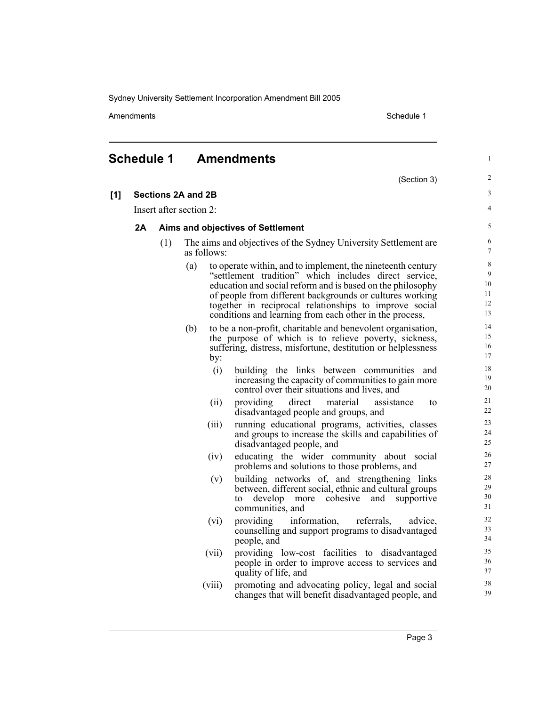Amendments **Amendments** Schedule 1

1

## <span id="page-4-0"></span>**Schedule 1 Amendments**

#### (Section 3) **[1] Sections 2A and 2B** Insert after section 2: **2A Aims and objectives of Settlement** (1) The aims and objectives of the Sydney University Settlement are as follows: (a) to operate within, and to implement, the nineteenth century "settlement tradition" which includes direct service, education and social reform and is based on the philosophy of people from different backgrounds or cultures working together in reciprocal relationships to improve social conditions and learning from each other in the process, (b) to be a non-profit, charitable and benevolent organisation, the purpose of which is to relieve poverty, sickness, suffering, distress, misfortune, destitution or helplessness by: (i) building the links between communities and increasing the capacity of communities to gain more control over their situations and lives, and (ii) providing direct material assistance to disadvantaged people and groups, and (iii) running educational programs, activities, classes and groups to increase the skills and capabilities of disadvantaged people, and (iv) educating the wider community about social problems and solutions to those problems, and (v) building networks of, and strengthening links between, different social, ethnic and cultural groups to develop more cohesive and supportive communities, and (vi) providing information, referrals, advice, counselling and support programs to disadvantaged people, and (vii) providing low-cost facilities to disadvantaged people in order to improve access to services and quality of life, and (viii) promoting and advocating policy, legal and social changes that will benefit disadvantaged people, and  $\mathcal{L}$ 3 4 5 6 7 8 9 10 11 12 13 14 15 16 17 18 19 20 21  $22$ 23 24 25 26 27 28 29 30 31 32 33 34 35 36 37 38 39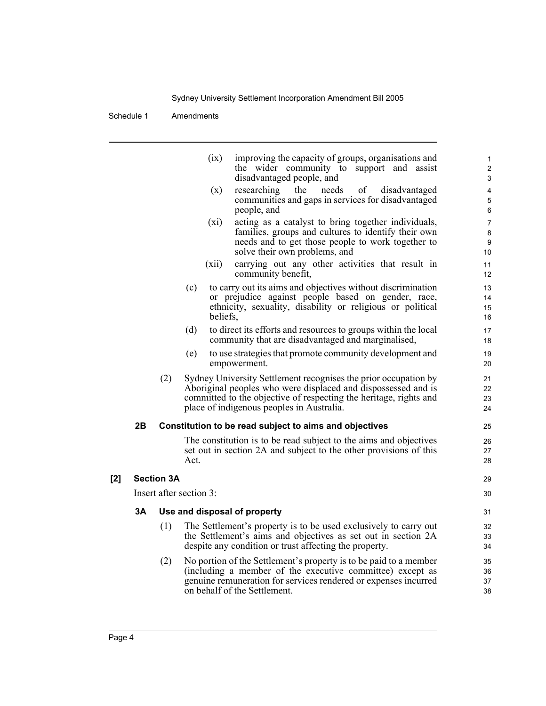Schedule 1 Amendments

|     |    |                   | (ix)<br>improving the capacity of groups, organisations and<br>the wider community to support and assist<br>disadvantaged people, and                                                                                                              | 1<br>$\overline{c}$<br>3       |
|-----|----|-------------------|----------------------------------------------------------------------------------------------------------------------------------------------------------------------------------------------------------------------------------------------------|--------------------------------|
|     |    |                   | researching<br>the<br>needs<br>of<br>(x)<br>disadvantaged<br>communities and gaps in services for disadvantaged<br>people, and                                                                                                                     | 4<br>5<br>6                    |
|     |    |                   | acting as a catalyst to bring together individuals,<br>(xi)<br>families, groups and cultures to identify their own<br>needs and to get those people to work together to<br>solve their own problems, and                                           | $\overline{7}$<br>8<br>9<br>10 |
|     |    |                   | (xii)<br>carrying out any other activities that result in<br>community benefit,                                                                                                                                                                    | 11<br>12 <sup>2</sup>          |
|     |    |                   | to carry out its aims and objectives without discrimination<br>(c)<br>or prejudice against people based on gender, race,<br>ethnicity, sexuality, disability or religious or political<br>beliefs,                                                 | 13<br>14<br>15<br>16           |
|     |    |                   | (d)<br>to direct its efforts and resources to groups within the local<br>community that are disadvantaged and marginalised,                                                                                                                        | 17<br>18                       |
|     |    |                   | (e)<br>to use strategies that promote community development and<br>empowerment.                                                                                                                                                                    | 19<br>20                       |
|     |    | (2)               | Sydney University Settlement recognises the prior occupation by<br>Aboriginal peoples who were displaced and dispossessed and is<br>committed to the objective of respecting the heritage, rights and<br>place of indigenous peoples in Australia. | 21<br>22<br>23<br>24           |
|     | 2Β |                   | Constitution to be read subject to aims and objectives                                                                                                                                                                                             | 25                             |
|     |    |                   | The constitution is to be read subject to the aims and objectives<br>set out in section 2A and subject to the other provisions of this<br>Act.                                                                                                     | 26<br>27<br>28                 |
| [2] |    | <b>Section 3A</b> |                                                                                                                                                                                                                                                    | 29                             |
|     |    |                   | Insert after section 3:                                                                                                                                                                                                                            | 30                             |
|     | 3А |                   | Use and disposal of property                                                                                                                                                                                                                       | 31                             |
|     |    | (1)               | The Settlement's property is to be used exclusively to carry out<br>the Settlement's aims and objectives as set out in section 2A<br>despite any condition or trust affecting the property.                                                        | 32<br>33<br>34                 |
|     |    | (2)               | No portion of the Settlement's property is to be paid to a member<br>(including a member of the executive committee) except as<br>genuine remuneration for services rendered or expenses incurred<br>on behalf of the Settlement.                  | 35<br>36<br>37<br>38           |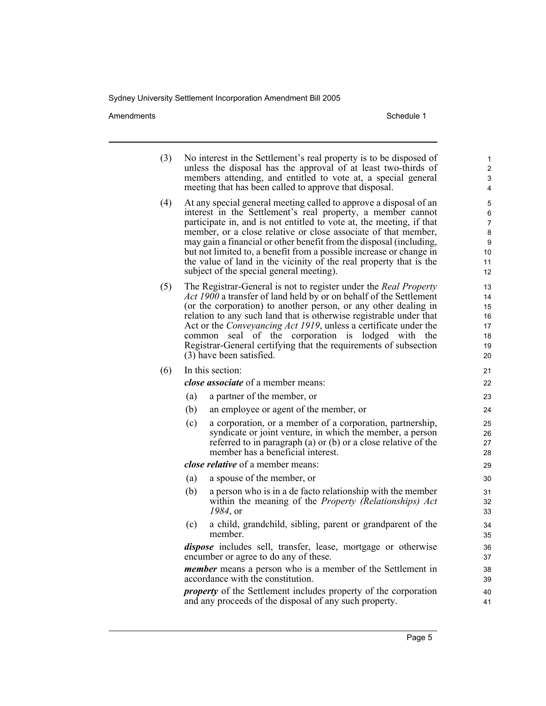Amendments **Schedule 1** and the set of the set of the set of the set of the set of the set of the set of the set of the set of the set of the set of the set of the set of the set of the set of the set of the set of the set

(3) No interest in the Settlement's real property is to be disposed of unless the disposal has the approval of at least two-thirds of members attending, and entitled to vote at, a special general meeting that has been called to approve that disposal. (4) At any special general meeting called to approve a disposal of an interest in the Settlement's real property, a member cannot participate in, and is not entitled to vote at, the meeting, if that member, or a close relative or close associate of that member, may gain a financial or other benefit from the disposal (including, but not limited to, a benefit from a possible increase or change in the value of land in the vicinity of the real property that is the subject of the special general meeting). (5) The Registrar-General is not to register under the *Real Property Act 1900* a transfer of land held by or on behalf of the Settlement (or the corporation) to another person, or any other dealing in relation to any such land that is otherwise registrable under that Act or the *Conveyancing Act 1919*, unless a certificate under the common seal of the corporation is lodged with the Registrar-General certifying that the requirements of subsection (3) have been satisfied. (6) In this section: *close associate* of a member means: (a) a partner of the member, or (b) an employee or agent of the member, or (c) a corporation, or a member of a corporation, partnership, syndicate or joint venture, in which the member, a person referred to in paragraph (a) or (b) or a close relative of the member has a beneficial interest. *close relative* of a member means: (a) a spouse of the member, or (b) a person who is in a de facto relationship with the member within the meaning of the *Property (Relationships) Act 1984*, or (c) a child, grandchild, sibling, parent or grandparent of the member. *dispose* includes sell, transfer, lease, mortgage or otherwise encumber or agree to do any of these. *member* means a person who is a member of the Settlement in accordance with the constitution. *property* of the Settlement includes property of the corporation and any proceeds of the disposal of any such property. 1 2 3 4 5 6 7 8 9 10 11 12 13 14 15 16 17 18 19 20 21 22  $23$ 24 25 26 27 28 29 30 31 32 33 34 35 36 37 38 39  $40$ 41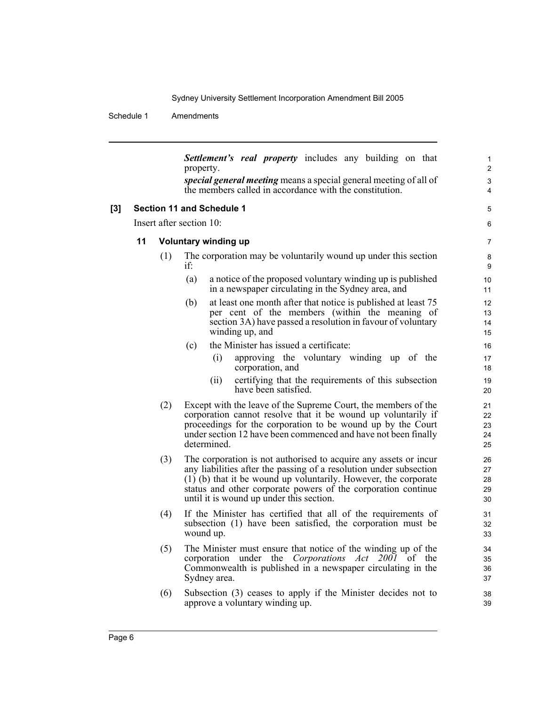Schedule 1 Amendments

*Settlement's real property* includes any building on that property. *special general meeting* means a special general meeting of all of the members called in accordance with the constitution. **[3] Section 11 and Schedule 1** Insert after section 10: **11 Voluntary winding up** (1) The corporation may be voluntarily wound up under this section if: (a) a notice of the proposed voluntary winding up is published in a newspaper circulating in the Sydney area, and (b) at least one month after that notice is published at least 75 per cent of the members (within the meaning of section 3A) have passed a resolution in favour of voluntary winding up, and (c) the Minister has issued a certificate: (i) approving the voluntary winding up of the corporation, and (ii) certifying that the requirements of this subsection have been satisfied. (2) Except with the leave of the Supreme Court, the members of the corporation cannot resolve that it be wound up voluntarily if proceedings for the corporation to be wound up by the Court under section 12 have been commenced and have not been finally determined. (3) The corporation is not authorised to acquire any assets or incur any liabilities after the passing of a resolution under subsection (1) (b) that it be wound up voluntarily. However, the corporate status and other corporate powers of the corporation continue until it is wound up under this section. (4) If the Minister has certified that all of the requirements of subsection (1) have been satisfied, the corporation must be wound up. (5) The Minister must ensure that notice of the winding up of the corporation under the *Corporations Act 2001* of the Commonwealth is published in a newspaper circulating in the Sydney area. (6) Subsection (3) ceases to apply if the Minister decides not to approve a voluntary winding up. 1 2 3 4 5 6 7 8 9 10 11 12 13 14 15 16 17 18 19 20 21 22 23 24 25 26 27 28 29 30 31 32 33 34 35 36 37 38 39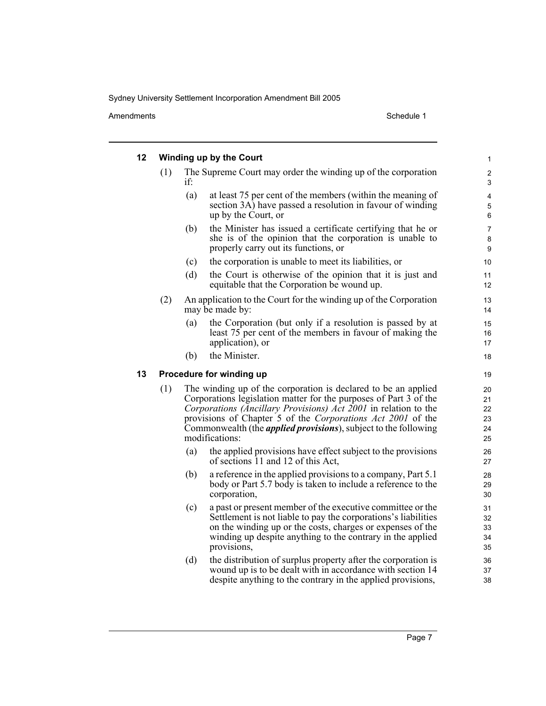Amendments **Schedule 1** and the set of the set of the set of the set of the set of the set of the set of the set of the set of the set of the set of the set of the set of the set of the set of the set of the set of the set

## **12 Winding up by the Court**

|    | (1) | if: | The Supreme Court may order the winding up of the corporation                                                                                                  |
|----|-----|-----|----------------------------------------------------------------------------------------------------------------------------------------------------------------|
|    |     | (a) | at least 75 per cent of the members (within the meaning of<br>section 3A) have passed a resolution in favour of winding<br>up by the Court, or                 |
|    |     | (b) | the Minister has issued a certificate certifying that he or<br>she is of the opinion that the corporation is unable to<br>properly carry out its functions, or |
|    |     | (c) | the corporation is unable to meet its liabilities, or                                                                                                          |
|    |     | (d) | the Court is otherwise of the opinion that it is just and<br>equitable that the Corporation be wound up.                                                       |
|    | (2) |     | An application to the Court for the winding up of the Corporation<br>may be made by:                                                                           |
|    |     | (a) | the Corporation (but only if a resolution is passed by at<br>least 75 per cent of the members in favour of making the<br>application), or                      |
|    |     | (b) | the Minister.                                                                                                                                                  |
| 13 |     |     | Procedure for winding up                                                                                                                                       |
|    | (1) |     | The winding up of the corporation is declared to be an applied<br>Corporations legislation matter for the purposes of Part 3 of the                            |

- *Corporations (Ancillary Provisions) Act 2001* in relation to the provisions of Chapter 5 of the *Corporations Act 2001* of the Commonwealth (the *applied provisions*), subject to the following modifications:
	- (a) the applied provisions have effect subject to the provisions of sections 11 and 12 of this Act,
	- (b) a reference in the applied provisions to a company, Part 5.1 body or Part 5.7 body is taken to include a reference to the corporation,
	- (c) a past or present member of the executive committee or the Settlement is not liable to pay the corporations's liabilities on the winding up or the costs, charges or expenses of the winding up despite anything to the contrary in the applied provisions,
	- (d) the distribution of surplus property after the corporation is wound up is to be dealt with in accordance with section 14 despite anything to the contrary in the applied provisions,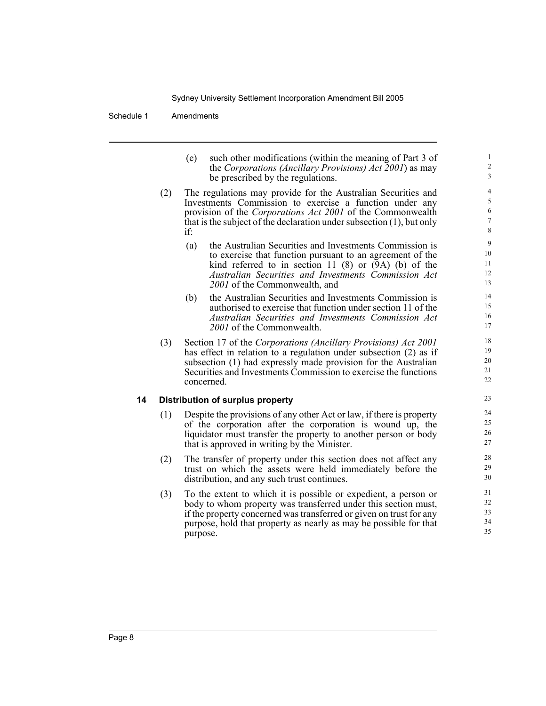### Schedule 1 Amendments

(e) such other modifications (within the meaning of Part 3 of the *Corporations (Ancillary Provisions) Act 2001*) as may be prescribed by the regulations.

- (2) The regulations may provide for the Australian Securities and Investments Commission to exercise a function under any provision of the *Corporations Act 2001* of the Commonwealth that is the subject of the declaration under subsection (1), but only if:
	- (a) the Australian Securities and Investments Commission is to exercise that function pursuant to an agreement of the kind referred to in section 11 (8) or (9A) (b) of the *Australian Securities and Investments Commission Act 2001* of the Commonwealth, and
	- (b) the Australian Securities and Investments Commission is authorised to exercise that function under section 11 of the *Australian Securities and Investments Commission Act 2001* of the Commonwealth.
- (3) Section 17 of the *Corporations (Ancillary Provisions) Act 2001* has effect in relation to a regulation under subsection (2) as if subsection (1) had expressly made provision for the Australian Securities and Investments Commission to exercise the functions concerned.

### **14 Distribution of surplus property**

- (1) Despite the provisions of any other Act or law, if there is property of the corporation after the corporation is wound up, the liquidator must transfer the property to another person or body that is approved in writing by the Minister.
- (2) The transfer of property under this section does not affect any trust on which the assets were held immediately before the distribution, and any such trust continues.
- (3) To the extent to which it is possible or expedient, a person or body to whom property was transferred under this section must, if the property concerned was transferred or given on trust for any purpose, hold that property as nearly as may be possible for that purpose.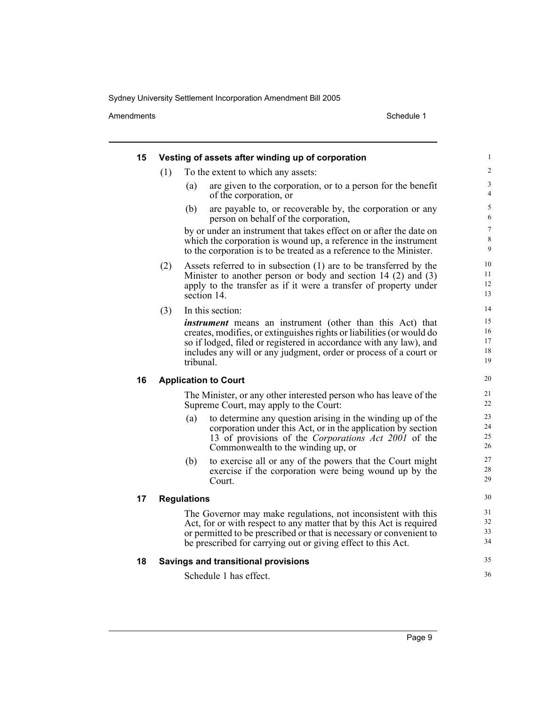Amendments Schedule 1

| 15 | Vesting of assets after winding up of corporation                                                                                                                                                                                                                                                 | $\mathbf{1}$                     |
|----|---------------------------------------------------------------------------------------------------------------------------------------------------------------------------------------------------------------------------------------------------------------------------------------------------|----------------------------------|
|    | (1)<br>To the extent to which any assets:                                                                                                                                                                                                                                                         | $\overline{c}$                   |
|    | are given to the corporation, or to a person for the benefit<br>(a)<br>of the corporation, or                                                                                                                                                                                                     | $\mathfrak{Z}$<br>$\overline{4}$ |
|    | (b)<br>are payable to, or recoverable by, the corporation or any<br>person on behalf of the corporation,                                                                                                                                                                                          | 5<br>6                           |
|    | by or under an instrument that takes effect on or after the date on<br>which the corporation is wound up, a reference in the instrument<br>to the corporation is to be treated as a reference to the Minister.                                                                                    | 7<br>8<br>9                      |
|    | (2)<br>Assets referred to in subsection (1) are to be transferred by the<br>Minister to another person or body and section $14$ (2) and (3)<br>apply to the transfer as if it were a transfer of property under<br>section 14.                                                                    | 10<br>11<br>12<br>13             |
|    | In this section:<br>(3)                                                                                                                                                                                                                                                                           | 14                               |
|    | <i>instrument</i> means an instrument (other than this Act) that<br>creates, modifies, or extinguishes rights or liabilities (or would do<br>so if lodged, filed or registered in accordance with any law), and<br>includes any will or any judgment, order or process of a court or<br>tribunal. | 15<br>16<br>17<br>18<br>19       |
| 16 | <b>Application to Court</b>                                                                                                                                                                                                                                                                       | 20                               |
|    | The Minister, or any other interested person who has leave of the<br>Supreme Court, may apply to the Court:                                                                                                                                                                                       | 21<br>22                         |
|    | to determine any question arising in the winding up of the<br>(a)<br>corporation under this Act, or in the application by section<br>13 of provisions of the <i>Corporations Act 2001</i> of the<br>Commonwealth to the winding up, or                                                            | 23<br>24<br>25<br>26             |
|    | to exercise all or any of the powers that the Court might<br>(b)<br>exercise if the corporation were being wound up by the<br>Court.                                                                                                                                                              | 27<br>28<br>29                   |
| 17 | <b>Regulations</b>                                                                                                                                                                                                                                                                                | 30                               |
|    | The Governor may make regulations, not inconsistent with this<br>Act, for or with respect to any matter that by this Act is required<br>or permitted to be prescribed or that is necessary or convenient to                                                                                       | 31<br>32<br>33<br>34             |
|    | be prescribed for carrying out or giving effect to this Act.                                                                                                                                                                                                                                      |                                  |
| 18 | <b>Savings and transitional provisions</b>                                                                                                                                                                                                                                                        | 35                               |
|    | Schedule 1 has effect.                                                                                                                                                                                                                                                                            | 36                               |